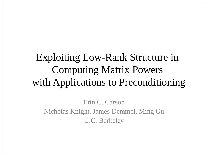## Exploiting Low-Rank Structure in Computing Matrix Powers with Applications to Preconditioning

Erin C. Carson Nicholas Knight, James Demmel, Ming Gu U.C. Berkeley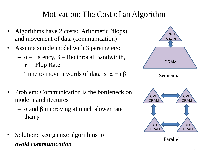#### Motivation: The Cost of an Algorithm

- Algorithms have 2 costs: Arithmetic (flops) and movement of data (communication)
- Assume simple model with 3 parameters:
	- α Latency, β Reciprocal Bandwidth,  $\gamma$  – Flop Rate
	- Time to move n words of data is  $\alpha + n\beta$
- Problem: Communication is the bottleneck on modern architectures
	- $\alpha$  and β improving at much slower rate than  $\gamma$
- Solution: Reorganize algorithms to *avoid communication*

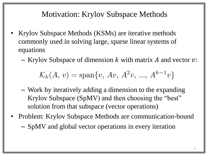#### Motivation: Krylov Subspace Methods

- Krylov Subspace Methods (KSMs) are iterative methods commonly used in solving large, sparse linear systems of equations
	- Krylov Subspace of dimension  $k$  with matrix  $A$  and vector  $v$ :

$$
\mathcal{K}_k(A,\,v)=\text{span}\{v,\,Av,\,A^2v,\,...,\,A^{k-1}v\}
$$

- Work by iteratively adding a dimension to the expanding Krylov Subspace (SpMV) and then choosing the "best" solution from that subspace (vector operations)
- Problem: Krylov Subspace Methods are communication-bound – SpMV and global vector operations in every iteration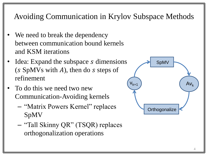Avoiding Communication in Krylov Subspace Methods

- We need to break the dependency between communication bound kernels and KSM iterations
- Idea: Expand the subspace *s* dimensions  $(s$  SpMVs with  $A$ ), then do  $s$  steps of refinement
- To do this we need two new Communication-Avoiding kernels
	- "Matrix Powers Kernel" replaces SpMV
	- "Tall Skinny QR" (TSQR) replaces orthogonalization operations

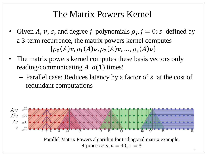### The Matrix Powers Kernel

- Given A, v, s, and degree j polynomials  $\rho_j$ ,  $j = 0$ : s defined by a 3-term recurrence, the matrix powers kernel computes  $\{\rho_0(A)v, \rho_1(A)v, \rho_2(A)v, ..., \rho_s(A)v\}$
- The matrix powers kernel computes these basis vectors only reading/communicating  $A \ o(1)$  times!
	- Parallel case: Reduces latency by a factor of s at the cost of redundant computations

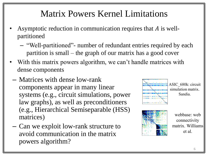## Matrix Powers Kernel Limitations

- Asymptotic reduction in communication requires that  $A$  is wellpartitioned
	- "Well-partitioned"- number of redundant entries required by each partition is small – the graph of our matrix has a good cover
- With this matrix powers algorithm, we can't handle matrices with dense components
- Matrices with dense low-rank components appear in many linear systems (e.g., circuit simulations, power law graphs), as well as preconditioners (e.g., Hierarchical Semiseparable (HSS) matrices)
- Can we exploit low-rank structure to avoid communication in the matrix powers algorithm?





connectivity matrix. Williams et al.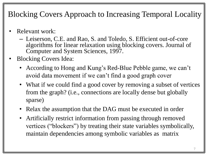### Blocking Covers Approach to Increasing Temporal Locality

- Relevant work:
	- Leiserson, C.E. and Rao, S. and Toledo, S. Efficient out-of-core algorithms for linear relaxation using blocking covers. Journal of Computer and System Sciences, 1997.
- Blocking Covers Idea:
	- According to Hong and Kung's Red-Blue Pebble game, we can't avoid data movement if we can't find a good graph cover
	- What if we could find a good cover by removing a subset of vertices from the graph? (i.e., connections are locally dense but globally sparse)
	- Relax the assumption that the DAG must be executed in order
	- Artificially restrict information from passing through removed vertices ("blockers") by treating their state variables symbolically, maintain dependencies among symbolic variables as matrix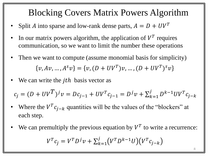### Blocking Covers Matrix Powers Algorithm

- Split *A* into sparse and low-rank dense parts,  $A = D + UV^T$
- In our matrix powers algorithm, the application of  $V^T$  requires communication, so we want to limit the number these operations
- Then we want to compute (assume monomial basis for simplicity)  $v, Av, ..., A<sup>S</sup>v$ } = { $v, (D + UV<sup>T</sup>)v, ..., (D + UV<sup>T</sup>)<sup>S</sup>v$
- We can write the  $j$ th basis vector as

$$
c_j = (D + UV^T)^j v = Dc_{j-1} + UV^T c_{j-1} = D^j v + \sum_{k=1}^j D^{k-1} UV^T c_{j-k}
$$

- Where the  $V^T c_{j-k}$  quantities will be the values of the "blockers" at each step.
- We can premultiply the previous equation by  $V^T$  to write a recurrence:  $V^{T} c_{j} = V^{T} D^{j} v + \sum_{k=1}^{j} (V^{T} D^{k-1} U)(V^{T} c_{j-k})$  $k=1$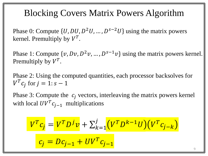### Blocking Covers Matrix Powers Algorithm

Phase 0: Compute  $\{U, DU, D^2U, ..., D^{s-2}U\}$  using the matrix powers kernel. Premultiply by  $V^T$ .

Phase 1: Compute  $\{v, Dv, D^2v, ..., D^{s-1}v\}$  using the matrix powers kernel. Premultiply by  $V^T$ .

Phase 2: Using the computed quantities, each processor backsolves for  $V^T c_j$  for  $j = 1$ :  $s - 1$ 

Phase 3: Compute the  $c_i$  vectors, interleaving the matrix powers kernel with local  $UV^T c_{j-1}$  multiplications

$$
V^{T}c_{j} = V^{T}D^{j}v + \sum_{k=1}^{j} (V^{T}D^{k-1}U)(V^{T}c_{j-k})
$$

$$
c_{j} = Dc_{j-1} + UV^{T}c_{j-1}
$$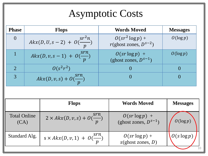## Asymptotic Costs

| <b>Phase</b> | <b>Flops</b>                           | <b>Words Moved</b>                                     | <b>Messages</b> |
|--------------|----------------------------------------|--------------------------------------------------------|-----------------|
|              | $A kx(D, U, s-2) + O(\frac{sr^2n}{n})$ | $0(sr^2 \log p) +$<br>$r(\text{ghost zones}, D^{s-2})$ | $O(\log p)$     |
|              | $A kx(D, v, s - 1) + O(\frac{srn}{n})$ | $0(sr \log p) +$<br>(ghost zones, $D^{s-1}$ )          | $O(\log p)$     |
|              | $0(s^2r^2)$                            |                                                        |                 |
|              | $A kx(D, v, s) + O(\frac{srn}{n})$     |                                                        |                 |

|                             | <b>Flops</b>                                 | <b>Words Moved</b>                            | <b>Messages</b> |
|-----------------------------|----------------------------------------------|-----------------------------------------------|-----------------|
| <b>Total Online</b><br>(CA) | $2 \times A k x(D, v, s) + O(\frac{srn}{n})$ | $O(sr \log p)$ +<br>(ghost zones, $D^{s-1}$ ) | $O(\log p)$     |
| Standard Alg.               | $s \times A k x(D, v, 1) + O(\frac{srn}{r})$ | $0(sr \log p) +$<br>s(ghost zones, D)         | $O(s \log p)$   |
|                             |                                              |                                               |                 |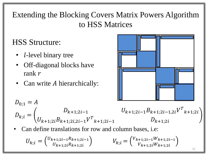### Extending the Blocking Covers Matrix Powers Algorithm to HSS Matrices

## HSS Structure:

- *l*-level binary tree
- Off-diagonal blocks have rank  $r$
- Can write A hierarchically:



$$
D_{0;1} = A
$$
\n
$$
D_{k;i} = \begin{pmatrix} D_{k+1;2i-1} & U_{k+1;2i-1}B_{k+1;2i-1,2i}V^{T}{}_{k+1;2i} \\ U_{k+1;2i}B_{k+1;2i,2i-1}V^{T}{}_{k+1;2i-1} & D_{k+1;2i} \\ \text{• Can define translations for row and column bases, i.e.} \end{pmatrix}
$$

$$
U_{k;i} = \begin{pmatrix} U_{k+1;2i-1}R_{k+1;2i-1} \\ U_{k+1;2i}R_{k+1;2i} \end{pmatrix} \qquad V_{k;i} = \begin{pmatrix} V_{k+1;2i-1}W_{k+1;2i-1} \\ V_{k+1;2i}W_{k+1;2i} \end{pmatrix}
$$

11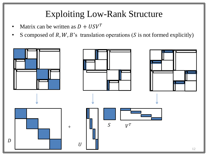## Exploiting Low-Rank Structure

- Matrix can be written as  $D + USV<sup>T</sup>$
- S composed of R, W, B's translation operations (S is not formed explicitly)

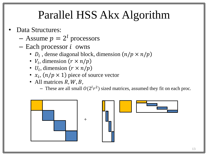# Parallel HSS Akx Algorithm

- Data Structures:
	- $-$  Assume  $p = 2<sup>l</sup>$  processors
	- $-$  Each processor  $i$  owns
		- $D_i$ , dense diagonal block, dimension  $(n/p \times n/p)$
		- $V_i$ , dimension  $(r \times n/p)$
		- $U_i$ , dimension  $(r \times n/p)$
		- $x_i$ ,  $(n/p \times 1)$  piece of source vector
		- All matrices  $R, W, B$ ,
			- These are all small  $O(2^l r^2)$  sized matrices, assumed they fit on each proc.

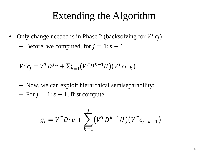### Extending the Algorithm

- Only change needed is in Phase 2 (backsolving for  $V^T c_j$ )
	- Before, we computed, for  $j = 1$ :  $s 1$

$$
V^{T} c_{j} = V^{T} D^{j} v + \sum_{k=1}^{j} (V^{T} D^{k-1} U)(V^{T} c_{j-k})
$$

- Now, we can exploit hierarchical semiseparability:
- For  $j = 1$ :  $s 1$ , first compute

$$
g_l = V^T D^j v + \sum_{k=1}^j (V^T D^{k-1} U)(V^T c_{j-k+1})
$$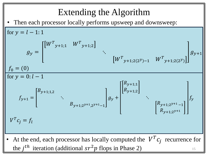## Extending the Algorithm

Then each processor locally performs upsweep and downsweep:

for 
$$
y = l - 1:1
$$
  
\n
$$
g_y = \begin{bmatrix} W^T y_{j+1,1} & W^T y_{j+1,2} \end{bmatrix}
$$
\n
$$
f_0 = (0)
$$
\nfor  $y = 0: l - 1$   
\n
$$
f_{y+1} = \begin{bmatrix} B_{y+1,1,2} & & \\ & \ddots & \\ & & B_{y+1,2^{y+1},2^{y+1}-1} \end{bmatrix} g_y + \begin{bmatrix} R_{y+1,1} \\ R_{y+1,2} \end{bmatrix}
$$
\n
$$
V^T c_j = f_l
$$
\n
$$
V^T c_j = f_l
$$
\nAt the end, each processor has locally computed the  $V^T c_j$  recurrence for the *j*<sup>th</sup> iteration (additional  $sr^2 p$  flops in Phase 2)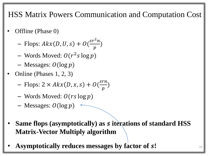HSS Matrix Powers Communication and Computation Cost

- Offline (Phase 0)
	- $-$  Flops:  $A k x (D, U, s) + O($  $sr^2n$  $\overline{p}$ )
	- Words Moved:  $O(r^2 s \log p)$
	- $-$  Messages:  $O(log p)$
- Online (Phases 1, 2, 3)
	- $-$  Flops:  $2 \times A k x (D, x, s) + O($ srn  $\overline{p}$ )
	- Words Moved:  $O(rs \log p)$
	- $-$  Messages:  $O(\log p)$   $\leftarrow$
- **Same flops (asymptotically) as iterations of standard HSS Matrix-Vector Multiply algorithm**
- **Asymptotically reduces messages by factor of** *s***!**